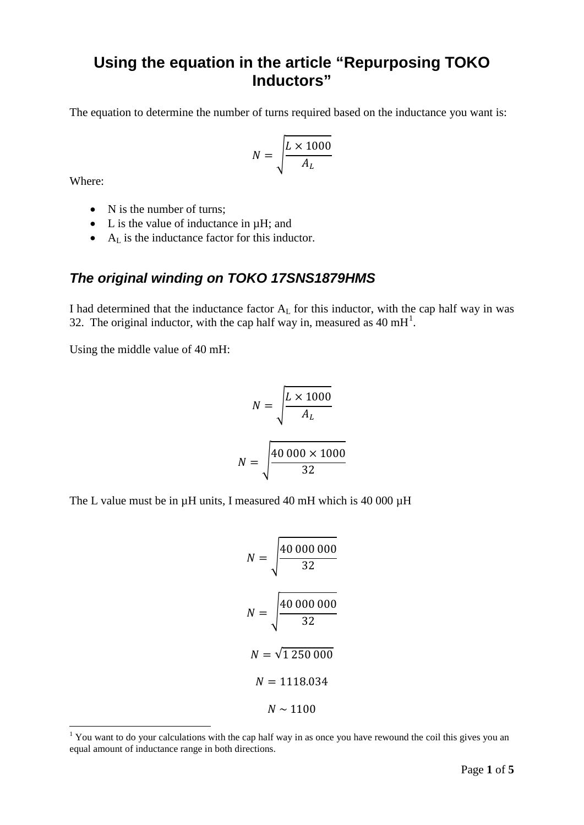# **Using the equation in the article "Repurposing TOKO Inductors"**

The equation to determine the number of turns required based on the inductance you want is:

$$
N = \sqrt{\frac{L \times 1000}{A_L}}
$$

Where:

- N is the number of turns;
- L is the value of inductance in  $\mu$ H; and
- A<sub>L</sub> is the inductance factor for this inductor.

## *The original winding on TOKO 17SNS1879HMS*

I had determined that the inductance factor  $A<sub>L</sub>$  for this inductor, with the cap half way in was 32. The original inductor, with the cap half way in, measured as  $40 \text{ mH}^1$  $40 \text{ mH}^1$ .

Using the middle value of 40 mH:

$$
N = \sqrt{\frac{L \times 1000}{A_L}}
$$

$$
N = \sqrt{\frac{40\ 000 \times 1000}{32}}
$$

The L value must be in  $\mu$ H units, I measured 40 mH which is 40 000  $\mu$ H

$$
N = \sqrt{\frac{40\ 000\ 000}{32}}
$$

$$
N = \sqrt{\frac{40\ 000\ 000}{32}}
$$

$$
N = \sqrt{1\ 250\ 000}
$$

$$
N = 1118.034
$$

$$
N \sim 1100
$$

<span id="page-0-0"></span><sup>&</sup>lt;sup>1</sup> You want to do your calculations with the cap half way in as once you have rewound the coil this gives you an equal amount of inductance range in both directions.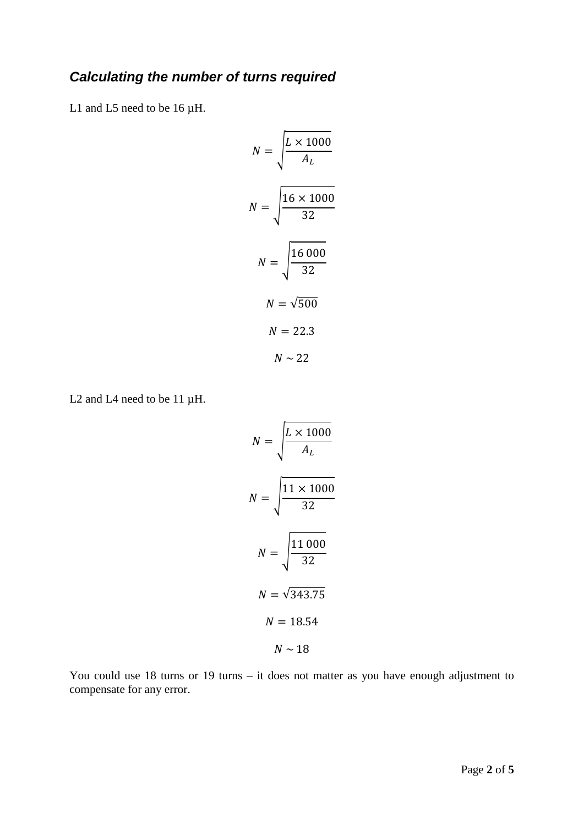# *Calculating the number of turns required*

L1 and L5 need to be 16  $\mu$ H.

$$
N = \sqrt{\frac{L \times 1000}{A_L}}
$$
  

$$
N = \sqrt{\frac{16 \times 1000}{32}}
$$
  

$$
N = \sqrt{500}
$$
  

$$
N = 22.3
$$
  

$$
N \sim 22
$$

L<sub>2</sub> and L<sub>4</sub> need to be 11  $\mu$ H.

$$
N = \sqrt{\frac{L \times 1000}{A_L}}
$$
  

$$
N = \sqrt{\frac{11 \times 1000}{32}}
$$
  

$$
N = \sqrt{343.75}
$$
  

$$
N = 18.54
$$
  

$$
N \sim 18
$$

You could use 18 turns or 19 turns – it does not matter as you have enough adjustment to compensate for any error.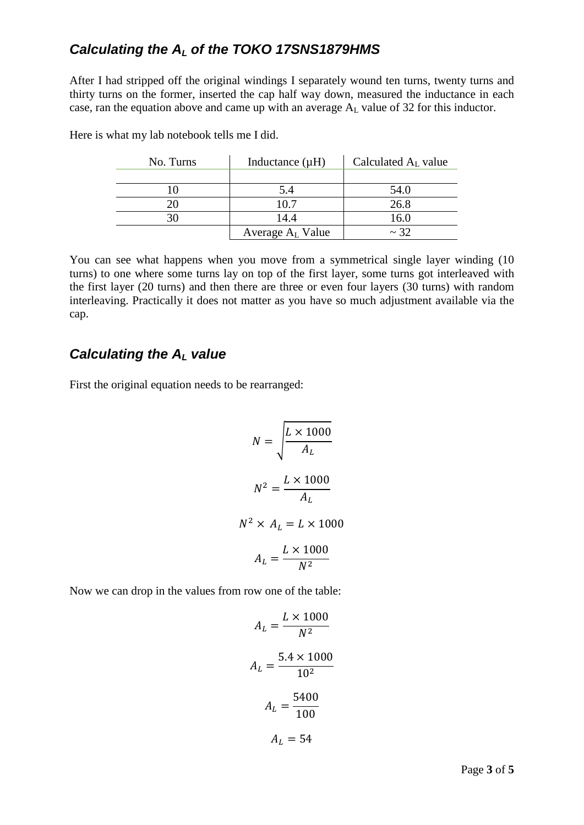## *Calculating the AL of the TOKO 17SNS1879HMS*

After I had stripped off the original windings I separately wound ten turns, twenty turns and thirty turns on the former, inserted the cap half way down, measured the inductance in each case, ran the equation above and came up with an average  $A_L$  value of 32 for this inductor.

| No. Turns | Inductance $(\mu H)$         | Calculated $A_L$ value |
|-----------|------------------------------|------------------------|
|           |                              |                        |
|           | 5.4                          | 54.0                   |
|           | 10.7                         | 26.8                   |
|           | 14.4                         | 16.0                   |
|           | Average A <sub>L</sub> Value | $\sim$ 32              |

Here is what my lab notebook tells me I did.

You can see what happens when you move from a symmetrical single layer winding (10 turns) to one where some turns lay on top of the first layer, some turns got interleaved with the first layer (20 turns) and then there are three or even four layers (30 turns) with random interleaving. Practically it does not matter as you have so much adjustment available via the cap.

## *Calculating the AL value*

First the original equation needs to be rearranged:

$$
N = \sqrt{\frac{L \times 1000}{A_L}}
$$

$$
N^2 = \frac{L \times 1000}{A_L}
$$

$$
N^2 \times A_L = L \times 1000
$$

$$
A_L = \frac{L \times 1000}{N^2}
$$

Now we can drop in the values from row one of the table:

$$
A_L = \frac{L \times 1000}{N^2}
$$

$$
A_L = \frac{5.4 \times 1000}{10^2}
$$

$$
A_L = \frac{5400}{100}
$$

$$
A_L = 54
$$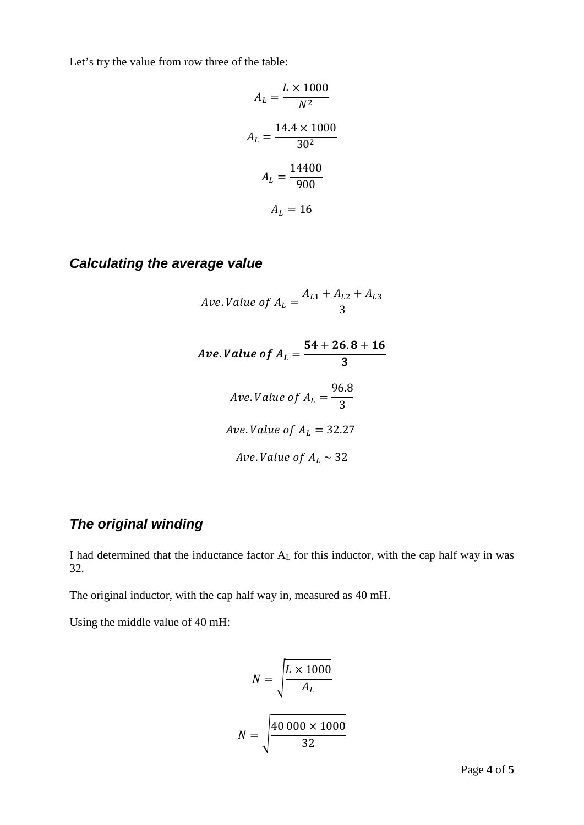Let's try the value from row three of the table:

$$
A_L = \frac{L \times 1000}{N^2}
$$

$$
A_L = \frac{14.4 \times 1000}{30^2}
$$

$$
A_L = \frac{14400}{900}
$$

$$
A_L = 16
$$

### *Calculating the average value*

Area of 
$$
A_L = \frac{A_{L1} + A_{L2} + A_{L3}}{3}
$$

\nArea of  $A_L = \frac{54 + 26.8 + 16}{3}$ 

\nArea of  $A_L = \frac{96.8}{3}$ 

\nArea of  $A_L = 32.27$ 

Ave. Value of  $A_L \sim 32$ 

# *The original winding*

I had determined that the inductance factor AL for this inductor, with the cap half way in was 32.

The original inductor, with the cap half way in, measured as 40 mH.

Using the middle value of 40 mH:

$$
N = \sqrt{\frac{L \times 1000}{A_L}}
$$

$$
N = \sqrt{\frac{40\ 000 \times 1000}{32}}
$$